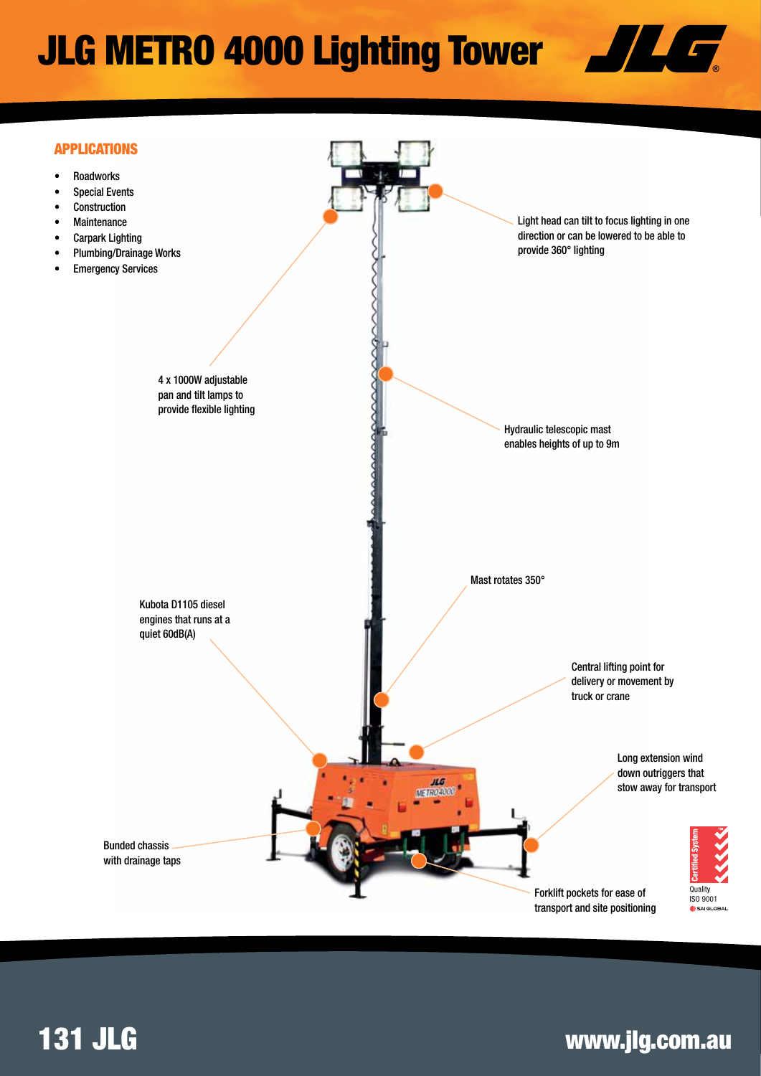# JLG METRO 4000 Lighting Tower





## 131 JLG www.jlg.com.au